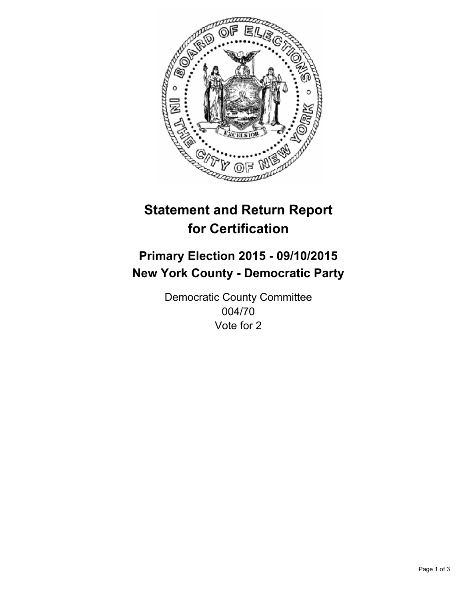

# **Statement and Return Report for Certification**

## **Primary Election 2015 - 09/10/2015 New York County - Democratic Party**

Democratic County Committee 004/70 Vote for 2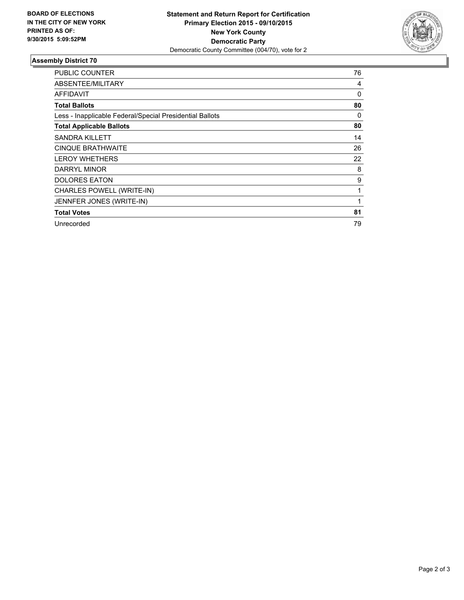

#### **Assembly District 70**

| <b>PUBLIC COUNTER</b>                                    | 76 |
|----------------------------------------------------------|----|
| ABSENTEE/MILITARY                                        | 4  |
| AFFIDAVIT                                                | 0  |
| <b>Total Ballots</b>                                     | 80 |
| Less - Inapplicable Federal/Special Presidential Ballots | 0  |
| <b>Total Applicable Ballots</b>                          | 80 |
| <b>SANDRA KILLETT</b>                                    | 14 |
| <b>CINQUE BRATHWAITE</b>                                 | 26 |
| <b>LEROY WHETHERS</b>                                    | 22 |
| DARRYL MINOR                                             | 8  |
| <b>DOLORES EATON</b>                                     | 9  |
| CHARLES POWELL (WRITE-IN)                                | 1  |
| JENNFER JONES (WRITE-IN)                                 | 1  |
| <b>Total Votes</b>                                       | 81 |
| Unrecorded                                               | 79 |